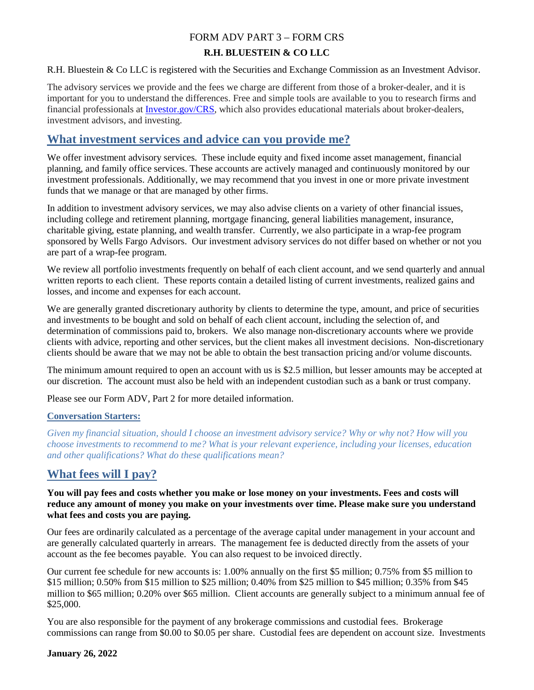## FORM ADV PART 3 – FORM CRS

### **R.H. BLUESTEIN & CO LLC**

R.H. Bluestein & Co LLC is registered with the Securities and Exchange Commission as an Investment Advisor.

The advisory services we provide and the fees we charge are different from those of a broker-dealer, and it is important for you to understand the differences. Free and simple tools are available to you to research firms and financial professionals at [Investor.gov/CRS,](http://www.investor.gov/crs) which also provides educational materials about broker-dealers, investment advisors, and investing.

## **What investment services and advice can you provide me?**

We offer investment advisory services. These include equity and fixed income asset management, financial planning, and family office services. These accounts are actively managed and continuously monitored by our investment professionals. Additionally, we may recommend that you invest in one or more private investment funds that we manage or that are managed by other firms.

In addition to investment advisory services, we may also advise clients on a variety of other financial issues, including college and retirement planning, mortgage financing, general liabilities management, insurance, charitable giving, estate planning, and wealth transfer. Currently, we also participate in a wrap-fee program sponsored by Wells Fargo Advisors.Our investment advisory services do not differ based on whether or not you are part of a wrap-fee program.

We review all portfolio investments frequently on behalf of each client account, and we send quarterly and annual written reports to each client. These reports contain a detailed listing of current investments, realized gains and losses, and income and expenses for each account.

We are generally granted discretionary authority by clients to determine the type, amount, and price of securities and investments to be bought and sold on behalf of each client account, including the selection of, and determination of commissions paid to, brokers. We also manage non-discretionary accounts where we provide clients with advice, reporting and other services, but the client makes all investment decisions. Non-discretionary clients should be aware that we may not be able to obtain the best transaction pricing and/or volume discounts.

The minimum amount required to open an account with us is \$2.5 million, but lesser amounts may be accepted at our discretion. The account must also be held with an independent custodian such as a bank or trust company.

Please see our Form ADV, Part 2 for more detailed information.

### **Conversation Starters:**

*Given my financial situation, should I choose an investment advisory service? Why or why not? How will you choose investments to recommend to me? What is your relevant experience, including your licenses, education and other qualifications? What do these qualifications mean?*

# **What fees will I pay?**

### **You will pay fees and costs whether you make or lose money on your investments. Fees and costs will reduce any amount of money you make on your investments over time. Please make sure you understand what fees and costs you are paying.**

Our fees are ordinarily calculated as a percentage of the average capital under management in your account and are generally calculated quarterly in arrears. The management fee is deducted directly from the assets of your account as the fee becomes payable. You can also request to be invoiced directly.

Our current fee schedule for new accounts is: 1.00% annually on the first \$5 million; 0.75% from \$5 million to \$15 million; 0.50% from \$15 million to \$25 million; 0.40% from \$25 million to \$45 million; 0.35% from \$45 million to \$65 million; 0.20% over \$65 million. Client accounts are generally subject to a minimum annual fee of \$25,000.

You are also responsible for the payment of any brokerage commissions and custodial fees. Brokerage commissions can range from \$0.00 to \$0.05 per share. Custodial fees are dependent on account size. Investments